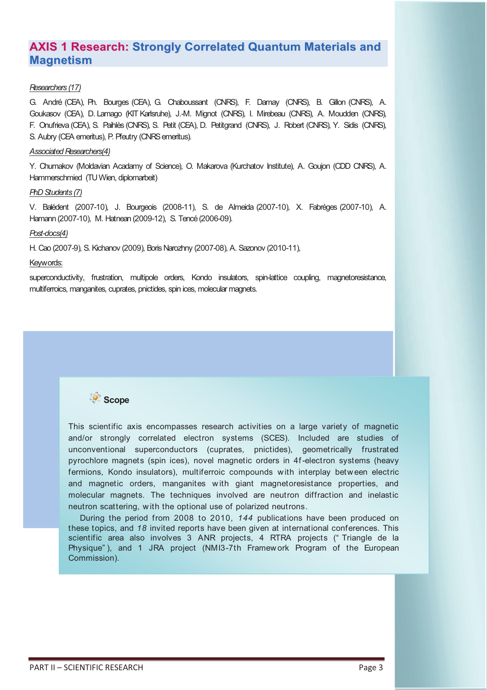# **AXIS 1 Research: Strongly Correlated Quantum Materials and Magnetism**

# *Researchers (17)*

G. André (CEA), Ph. Bourges (CEA), G. Chaboussant (CNRS), F. Damay (CNRS), B. Gillon (CNRS), A. Goukasov (CEA), D. Lamago (KIT Karlsruhe), J.-M. Mignot (CNRS), I. Mirebeau (CNRS), A. Moudden (CNRS), F. Onufrieva (CEA), S. Paihlès (CNRS), S. Petit (CEA), D. Petitgrand (CNRS), J. Robert (CNRS), Y. Sidis (CNRS), S. Aubry (CEA emeritus), P. Pfeutry (CNRS emeritus).

## *Associated Researchers(4)*

Y. Chumakov (Moldavian Acadamy of Science), O. Makarova (Kurchatov Institute), A. Goujon (CDD CNRS), A. Hammerschmied (TU Wien, diplomarbeit)

## *PhD Students (7)*

V. Balédent (2007-10), J. Bourgeois (2008-11), S. de Almeida (2007-10), X. Fabrèges (2007-10), A. Hamann (2007-10), M. Hatnean (2009-12), S. Tencé (2006-09).

### *Post-docs(4)*

H. Cao (2007-9), S. Kichanov (2009), Boris Narozhny (2007-08), A. Sazonov (2010-11),

### Keywords:

superconductivity, frustration, multipole orders, Kondo insulators, spin-lattice coupling, magnetoresistance, multiferroics, manganites, cuprates, pnictides, spin ices, molecular magnets.



This scientific axis encompasses research activities on a large variety of magnetic and/or strongly correlated electron systems (SCES). Included are studies of unconventional superconductors (cuprates, pnictides), geometrically frustrated pyrochlore magnets (spin ices), novel magnetic orders in 4f -electron systems (heavy fermions, Kondo insulators), multiferroic compounds w ith interplay betw een electric and magnetic orders, manganites w ith giant magnetoresistance properties, and molecular magnets. The techniques involved are neutron diffraction and inelastic neutron scattering, w ith the optional use of polarized neutrons.

During the period from 2008 to 2010, *144* publications have been produced on these topics, and *18* invited reports have been given at international conferences. This scientific area also involves 3 ANR projects, 4 RTRA projects (" Triangle de la Physique" ), and 1 JRA project (NMI3-7th Framew ork Program of the European Commission).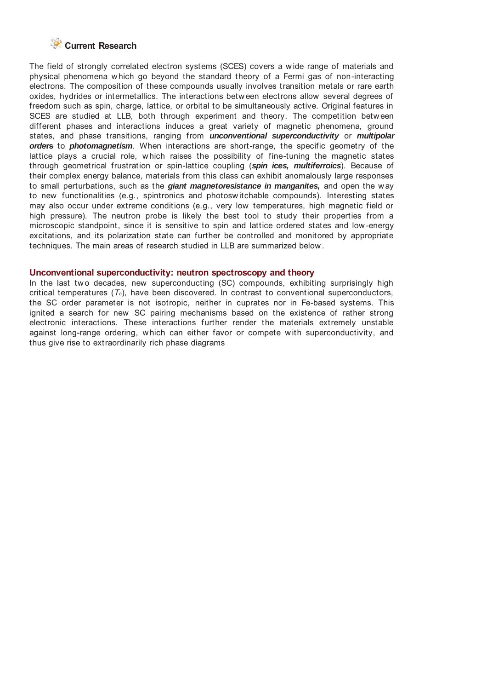# **Current Research**

The field of strongly correlated electron systems (SCES) covers a w ide range of materials and physical phenomena w hich go beyond the standard theory of a Fermi gas of non-interacting electrons. The composition of these compounds usually involves transition metals or rare earth oxides, hydrides or intermetallics. The interactions betw een electrons allow several degrees of freedom such as spin, charge, lattice, or orbital to be simultaneously active. Original features in SCES are studied at LLB, both through experiment and theory. The competition between different phases and interactions induces a great variety of magnetic phenomena, ground states, and phase transitions, ranging from *unconventional superconductivity* or *multipolar orde***rs** to *photomagnetism*. When interactions are short-range, the specific geometry of the lattice plays a crucial role, w hich raises the possibility of fine-tuning the magnetic states through geometrical frustration or spin-lattice coupling (*spin ices, multiferroics*). Because of their complex energy balance, materials from this class can exhibit anomalously large responses to small perturbations, such as the *giant magnetoresistance in manganites,* and open the w ay to new functionalities (e.g., spintronics and photosw itchable compounds). Interesting states may also occur under extreme conditions (e.g., very low temperatures, high magnetic field or high pressure). The neutron probe is likely the best tool to study their properties from a microscopic standpoint, since it is sensitive to spin and lattice ordered states and low -energy excitations, and its polarization state can further be controlled and monitored by appropriate techniques. The main areas of research studied in LLB are summarized below .

#### **Unconventional superconductivity: neutron spectroscopy and theory**

In the last two decades, new superconducting (SC) compounds, exhibiting surprisingly high critical temperatures (*Tc*), have been discovered. In contrast to conventional superconductors, the SC order parameter is not isotropic, neither in cuprates nor in Fe-based systems. This ignited a search for new SC pairing mechanisms based on the existence of rather strong electronic interactions. These interactions further render the materials extremely unstable against long-range ordering, which can either favor or compete w ith superconductivity, and thus give rise to extraordinarily rich phase diagrams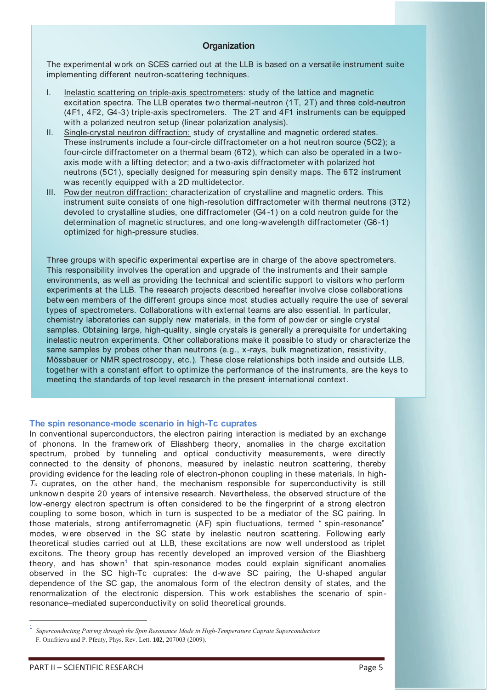### **Organization**

The experimental w ork on SCES carried out at the LLB is based on a versatile instrument suite implementing different neutron-scattering techniques.

- I. Inelastic scattering on triple-axis spectrometers: study of the lattice and magnetic excitation spectra. The LLB operates tw o thermal-neutron (1T, 2T) and three cold-neutron (4F1, 4F2, G4-3) triple-axis spectrometers. The 2T and 4F1 instruments can be equipped with a polarized neutron setup (linear polarization analysis).
- II. Single-crystal neutron diffraction: study of crystalline and magnetic ordered states. These instruments include a four-circle diffractometer on a hot neutron source (5C2); a four-circle diffractometer on a thermal beam (6T2), which can also be operated in a twoaxis mode w ith a lifting detector; and a tw o-axis diffractometer w ith polarized hot neutrons (5C1), specially designed for measuring spin density maps. The 6T2 instrument w as recently equipped w ith a 2D multidetector.
- III. Pow der neutron diffraction: characterization of crystalline and magnetic orders. This instrument suite consists of one high-resolution diffractometer w ith thermal neutrons (3T2) devoted to crystalline studies, one diffractometer (G4-1) on a cold neutron guide for the determination of magnetic structures, and one long-w avelength diffractometer (G6-1) optimized for high-pressure studies.

Three groups with specific experimental expertise are in charge of the above spectrometers. This responsibility involves the operation and upgrade of the instruments and their sample environments, as w ell as providing the technical and scientific support to visitors w ho perform experiments at the LLB. The research projects described hereafter involve close collaborations betw een members of the different groups since most studies actually require the use of several types of spectrometers. Collaborations w ith external teams are also essential. In particular, chemistry laboratories can supply new materials, in the form of powder or single crystal samples. Obtaining large, high-quality, single crystals is generally a prerequisite for undertaking inelastic neutron experiments. Other collaborations make it possible to study or characterize the same samples by probes other than neutrons (e.g., x-rays, bulk magnetization, resistivity, Mössbauer or NMR spectroscopy, etc.). These close relationships both inside and outside LLB, together w ith a constant effort to optimize the performance of the instruments, are the keys to meeting the standards of top level research in the present international context.

#### **The spin resonance-mode scenario in high-Tc cuprates**

In conventional superconductors, the electron pairing interaction is mediated by an exchange of phonons. In the framew ork of Eliashberg theory, anomalies in the charge excitation spectrum, probed by tunneling and optical conductivity measurements, were directly connected to the density of phonons, measured by inelastic neutron scattering, thereby providing evidence for the leading role of electron-phonon coupling in these materials. In high- $T_c$  cuprates, on the other hand, the mechanism responsible for superconductivity is still unknown despite 20 years of intensive research. Nevertheless, the observed structure of the low -energy electron spectrum is often considered to be the fingerprint of a strong electron coupling to some boson, w hich in turn is suspected to be a mediator of the SC pairing. In those materials, strong antiferromagnetic (AF) spin fluctuations, termed " spin-resonance" modes, w ere observed in the SC state by inelastic neutron scattering. Follow ing early theoretical studies carried out at LLB, these excitations are now w ell understood as triplet excitons. The theory group has recently developed an improved version of the Eliashberg theory, and has shown<sup>1</sup> that spin-resonance modes could explain significant anomalies observed in the SC high-Tc cuprates: the d-w ave SC pairing, the U-shaped angular dependence of the SC gap, the anomalous form of the electron density of states, and the renormalization of the electronic dispersion. This w ork establishes the scenario of spinresonance–mediated superconductivity on solid theoretical grounds.

*Superconducting Pairing through the Spin Resonance Mode in High-Temperature Cuprate Superconductors*  F. Onufrieva and P. Pfeuty, Phys. Rev. Lett. **102**, 207003 (2009).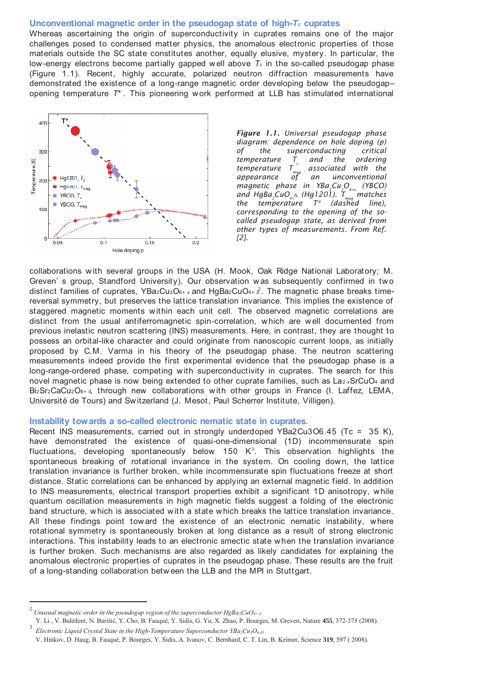#### **Unconventional magnetic order in the pseudogap state of high-***Tc* **cuprates**

Whereas ascertaining the origin of superconductivity in cuprates remains one of the major challenges posed to condensed matter physics, the anomalous electronic properties of those materials outside the SC state constitutes another, equally elusive, mystery. In particular, the low -energy electrons become partially gapped w ell above *Tc* in the so-called pseudogap phase (Figure 1.1). Recent, highly accurate, polarized neutron diffraction measurements have demonstrated the existence of a long-range magnetic order developing below the pseudogap– opening temperature *T*\* . This pioneering w ork performed at LLB has stimulated international



*Figure 1.1. Universal pseudogap phase diagram: dependence on hole doping (p) of the superconducting critical temperature T<sup>c</sup> and the ordering temperature Tmag associated with the an unconventional magnetic phase in YBa<sup>2</sup> Cu3O6+x (YBCO) and HgBa<sup>2</sup> CuO4+ <sup>δ</sup>. (Hg1201). Tmag matches the temperature T\* (dashed line), corresponding to the opening of the socalled pseudogap state, as derived from other types of measurements. From Ref. [2].* 

collaborations w ith several groups in the USA (H. Mook, Oak Ridge National Laboratory; M. Greven' s group, Standford University). Our observation w as subsequently confirmed in two distinct families of cuprates, YBa2Cu<sub>3</sub>O<sub>6+ x</sub> and HgBa2CuO<sub>4+</sub>  $\delta$ . The magnetic phase breaks timereversal symmetry, but preserves the lattice translation invariance. This implies the existence of staggered magnetic moments w ithin each unit cell. The observed magnetic correlations are distinct from the usual antiferromagnetic spin-correlation, w hich are w ell documented from previous inelastic neutron scattering (INS) measurements. Here, in contrast, they are thought to possess an orbital-like character and could originate from nanoscopic current loops, as initially proposed by C.M. Varma in his theory of the pseudogap phase. The neutron scattering measurements indeed provide the first experimental evidence that the pseudogap phase is a long-range-ordered phase, competing with superconductivity in cuprates. The search for this novel magnetic phase is now being extended to other cuprate families, such as La2-*x*SrCuO4 and Bi2Sr2CaCu2O8+ *<sup>δ</sup>*, through new collaborations w ith other groups in France (I. Laffez, LEMA, Université de Tours) and Sw itzerland (J. Mesot, Paul Scherrer Institute, Villigen).

#### **Instability towards a so-called electronic nematic state in cuprates.**

Recent INS measurements, carried out in strongly underdoped YBa2Cu3O6.45 (Tc = 35 K), have demonstrated the existence of quasi-one-dimensional (1D) incommensurate spin fluctuations, developing spontaneously below 150  $K^3$ . This observation highlights the spontaneous breaking of rotational invariance in the system. On cooling dow n, the lattice translation invariance is further broken, w hile incommensurate spin fluctuations freeze at short distance. Static correlations can be enhanced by applying an external magnetic field. In addition to INS measurements, electrical transport properties exhibit a significant 1D anisotropy, w hile quantum oscillation measurements in high magnetic fields suggest a folding of the electronic band structure, w hich is associated w ith a state w hich breaks the lattice translation invariance. All these findings point tow ard the existence of an electronic nematic instability, w here rotational symmetry is spontaneously broken at long distance as a result of strong electronic interactions. This instability leads to an electronic smectic state w hen the translation invariance is further broken. Such mechanisms are also regarded as likely candidates for explaining the anomalous electronic properties of cuprates in the pseudogap phase. These results are the fruit of a long-standing collaboration betw een the LLB and the MPI in Stuttgart.

<u>.</u>

3

<sup>2</sup> *Unusual magnetic order in the pseudogap region of the superconductor HgBa2CuO4+ δ*

Y. Li , V. Balédent, N. Barišić, Y. Cho, B. Fauqué, Y. Sidis, G. Yu, X. Zhao, P. Bourges, M. Greven, Nature **455**, 372-375 (2008).

*Electronic Liquid Crystal State in the High-Temperature Superconductor YBa2Cu3O6.45*

V. Hinkov, D. Haug, B. Fauqué, P. Bourges, Y. Sidis, A. Ivanov, C. Bernhard, C. T. Lin, B. Keimer, Science **319**, 597 ( 2008).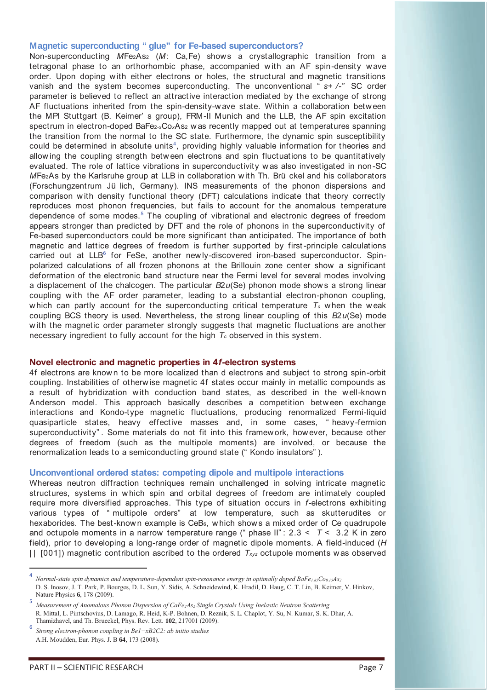#### **Magnetic superconducting " glue" for Fe-based superconductors?**

Non-superconducting *M*Fe2As2 (*M*: Ca,Fe) shows a crystallographic transition from a tetragonal phase to an orthorhombic phase, accompanied w ith an AF spin-density w ave order. Upon doping w ith either electrons or holes, the structural and magnetic transitions vanish and the system becomes superconducting. The unconventional " *s+ /-"* SC order parameter is believed to reflect an attractive interaction mediated by the exchange of strong AF fluctuations inherited from the spin-density-w ave state. Within a collaboration betw een the MPI Stuttgart (B. Keimer' s group), FRM-II Munich and the LLB, the AF spin excitation spectrum in electron-doped BaFe2-*x*Co*x*As2 w as recently mapped out at temperatures spanning the transition from the normal to the SC state. Furthermore, the dynamic spin susceptibility could be determined in absolute units<sup>4</sup>, providing highly valuable information for theories and allow ing the coupling strength betw een electrons and spin fluctuations to be quantitatively evaluated. The role of lattice vibrations in superconductivity w as also investigated in non-SC *M*Fe2As by the Karlsruhe group at LLB in collaboration w ith Th. Brü ckel and his collaborators (Forschungzentrum Jü lich, Germany). INS measurements of the phonon dispersions and comparison w ith density functional theory (DFT) calculations indicate that theory correctly reproduces most phonon frequencies, but fails to account for the anomalous temperature dependence of some modes.<sup>5</sup> The coupling of vibrational and electronic degrees of freedom appears stronger than predicted by DFT and the role of phonons in the superconductivity of Fe-based superconductors could be more significant than anticipated. The importance of both magnetic and lattice degrees of freedom is further supported by first -principle calculations carried out at LLB<sup>6</sup> for FeSe, another newly-discovered iron-based superconductor. Spinpolarized calculations of all frozen phonons at the Brillouin zone center show a significant deformation of the electronic band structure near the Fermi level for several modes involving a displacement of the chalcogen. The particular *B*2*u*(Se) phonon mode show s a strong linear coupling w ith the AF order parameter, leading to a substantial electron-phonon coupling, which can partly account for the superconducting critical temperature  $T_c$  when the weak coupling BCS theory is used. Nevertheless, the strong linear coupling of this *B*2*u*(Se) mode w ith the magnetic order parameter strongly suggests that magnetic fluctuations are another necessary ingredient to fully account for the high *Tc* observed in this system.

#### **Novel electronic and magnetic properties in 4***f***-electron systems**

4f electrons are know n to be more localized than d electrons and subject to strong spin-orbit coupling. Instabilities of otherw ise magnetic 4f states occur mainly in metallic compounds as a result of hybridization with conduction band states, as described in the well-known Anderson model. This approach basically describes a competition betw een exchange interactions and Kondo-type magnetic fluctuations, producing renormalized Fermi-liquid quasiparticle states, heavy effective masses and, in some cases, " heavy-fermion superconductivity" . Some materials do not fit into this framew ork, however, because other degrees of freedom (such as the multipole moments) are involved, or because the renormalization leads to a semiconducting ground state (" Kondo insulators" ).

### **Unconventional ordered states: competing dipole and multipole interactions**

Whereas neutron diffraction techniques remain unchallenged in solving intricate magnetic structures, systems in w hich spin and orbital degrees of freedom are intimately coupled require more diversified approaches. This type of situation occurs in *f*-electrons exhibiting various types of " multipole orders" at low temperature, such as skutterudites or hexaborides. The best-known example is CeB<sub>6</sub>, which shows a mixed order of Ce quadrupole and octupole moments in a narrow temperature range (" phase II" : 2.3 < *T* < 3.2 K in zero field), prior to developing a long-range order of magnetic dipole moments. A field-induced (*H* | | [001]) magnetic contribution ascribed to the ordered *Txyz* octupole moments w as observed

 $\overline{a}$ 

<sup>4</sup>*Normal-state spin dynamics and temperature-dependent spin-resonance energy in optimally doped BaFe1.85Co0.15As<sup>2</sup>* D. S. Inosov, J. T. Park, P. Bourges, D. L. Sun, Y. Sidis, A. Schneidewind, K. Hradil, D. Haug, C. T. Lin, B. Keimer, V. Hinkov, Nature Physics **6**, 178 (2009).

<sup>5</sup> *Measurement of Anomalous Phonon Dispersion of CaFe2As2 Single Crystals Using Inelastic Neutron Scattering*  R. Mittal, L. Pintschovius, D. Lamago, R. Heid, K-P. Bohnen, D. Reznik, S. L. Chaplot, Y. Su, N. Kumar, S. K. Dhar, A. Thamizhavel, and Th. Brueckel, Phys. Rev. Lett. **102**, 217001 (2009).

<sup>6</sup> *Strong electron-phonon coupling in Be1−xB2C2: ab initio studies* A.H. Moudden, Eur. Phys. J. B **64**, 173 (2008).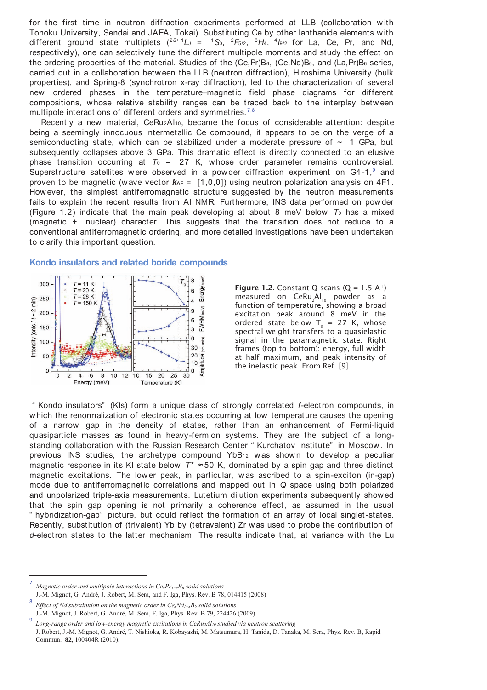for the first time in neutron diffraction experiments performed at LLB (collaboration with Tohoku University, Sendai and JAEA, Tokai). Substituting Ce by other lanthanide elements w ith different ground state multiplets  $(^{2S+1}L_J = ^{1}S_0, ^{2}F_{5/2}, ^{3}H_4, ^{4}I_{9/2}$  for La, Ce, Pr, and Nd, respectively), one can selectively tune the different multipole moments and study the effect on the ordering properties of the material. Studies of the (Ce, Pr)B<sub>6</sub>, (Ce, Nd)B<sub>6</sub>, and (La, Pr)B<sub>6</sub> series, carried out in a collaboration betw een the LLB (neutron diffraction), Hiroshima University (bulk properties), and Spring-8 (synchrotron x-ray diffraction), led to the characterization of several new ordered phases in the temperature–magnetic field phase diagrams for different compositions, w hose relative stability ranges can be traced back to the interplay betw een multipole interactions of different orders and symmetries.  $7,8$ 

Recently a new material, CeRu2Al10, became the focus of considerable attention: despite being a seemingly innocuous intermetallic Ce compound, it appears to be on the verge of a semiconducting state, which can be stabilized under a moderate pressure of  $\sim$  1 GPa, but subsequently collapses above 3 GPa. This dramatic effect is directly connected to an elusive phase transition occurring at  $T_0 = 27$  K, whose order parameter remains controversial. Superstructure satellites were observed in a powder diffraction experiment on  $G4-1$ , and proven to be magnetic (wave vector  $k_{AF} = [1,0,0]$ ) using neutron polarization analysis on 4F1. How ever, the simplest antiferromagnetic structure suggested by the neutron measurements fails to explain the recent results from Al NMR. Furthermore, INS data performed on pow der (Figure 1.2) indicate that the main peak developing at about 8 meV below  $T_0$  has a mixed (magnetic + nuclear) character. This suggests that the transition does not reduce to a conventional antiferromagnetic ordering, and more detailed investigations have been undertaken to clarify this important question.

#### $T_{\circ}$ (meV)  $\overline{\mathbf{8}}$ 300  $= 11 K$ Energy  $T = 20 K$  $6\phantom{a}$  $T = 26 K$ 250 Intensity (cnts /  $t \sim 2$  min)  $\overline{4}$  $T = 150 K$  $m \text{eV}$ 9 200 FWHM  $6\phantom{a}$ 150 3  $\mathbf 0$  $nits)$ 100  $30<sup>2</sup>$ arb. 50  $\mathbf{0}$ 0 ك  $\overline{0}$  $\overline{z}$  $\overline{4}$  $\overline{6}$  $\overline{R}$  $10$  $12$  $10$ 15 20  $25$  $\overline{30}$ Energy (meV) Temperature (K)

**Kondo insulators and related boride compounds** 

**Figure 1.2.** Constant-Q scans  $(Q = 1.5 \text{ Å}^+)$  $\mathsf{measured}$  on  $\mathsf{Ceku}_{\mathsf{2}}\mathsf{Al}_{\mathsf{10}}$  powder as a function of temperature, showing a broad excitation peak around 8 meV in the ordered state below  $T_0 = 27$  K, whose spectral weight transfers to a quasielastic signal in the paramagnetic state. Right frames (top to bottom): energy, full width at half maximum, and peak intensity of the inelastic peak. From Ref. [9].

" Kondo insulators" (KIs) form a unique class of strongly correlated *f*-electron compounds, in w hich the renormalization of electronic states occurring at low temperature causes the opening of a narrow gap in the density of states, rather than an enhancement of Fermi-liquid quasiparticle masses as found in heavy-fermion systems. They are the subject of a longstanding collaboration with the Russian Research Center " Kurchatov Institute" in Moscow. In previous INS studies, the archetype compound YbB<sub>12</sub> was shown to develop a peculiar magnetic response in its KI state below  $T^* \approx 50$  K, dominated by a spin gap and three distinct magnetic excitations. The lower peak, in particular, was ascribed to a spin-exciton (in-gap) mode due to antiferromagnetic correlations and mapped out in *Q* space using both polarized and unpolarized triple-axis measurements. Lutetium dilution experiments subsequently showed that the spin gap opening is not primarily a coherence effect, as assumed in the usual " hybridization-gap" picture, but could reflect the formation of an array of local singlet -states. Recently, substitution of (trivalent) Yb by (tetravalent) Zr w as used to probe the contribution of *d*-electron states to the latter mechanism. The results indicate that, at variance w ith the Lu

<sup>7</sup>*Magnetic order and multipole interactions in CexPr1−xB6 solid solutions*  J.-M. Mignot, G. André, J. Robert, M. Sera, and F. Iga, Phys. Rev. B 78, 014415 (2008)

<sup>8</sup>*Effect of Nd substitution on the magnetic order in CexNd1−xB6 solid solutions*  J.-M. Mignot, J. Robert, G. André, M. Sera, F. Iga, Phys. Rev. B 79, 224426 (2009)

<sup>9</sup>*Long-range order and low-energy magnetic excitations in CeRu2Al10 studied via neutron scattering*  J. Robert, J.-M. Mignot, G. André, T. Nishioka, R. Kobayashi, M. Matsumura, H. Tanida, D. Tanaka, M. Sera, Phys. Rev. B, Rapid Commun. **82**, 100404R (2010).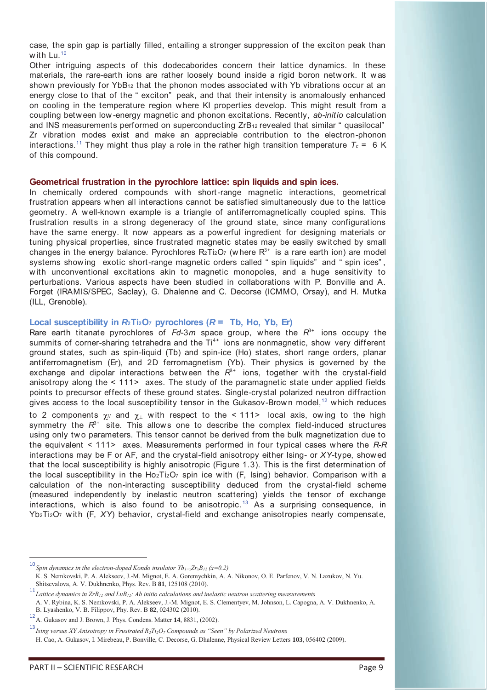case, the spin gap is partially filled, entailing a stronger suppression of the exciton peak than with  $Lu^{10}$ 

Other intriguing aspects of this dodecaborides concern their lattice dynamics. In these materials, the rare-earth ions are rather loosely bound inside a rigid boron netw ork. It w as shown previously for  $YbB_{12}$  that the phonon modes associated with Yb vibrations occur at an energy close to that of the " exciton" peak, and that their intensity is anomalously enhanced on cooling in the temperature region w here KI properties develop. This might result from a coupling betw een low -energy magnetic and phonon excitations. Recently, *ab-initio* calculation and INS measurements performed on superconducting ZrB<sub>12</sub> revealed that similar " quasilocal" Zr vibration modes exist and make an appreciable contribution to the electron-phonon interactions.<sup>11</sup> They might thus play a role in the rather high transition temperature  $T_c = 6$  K of this compound.

#### **Geometrical frustration in the pyrochlore lattice: spin liquids and spin ices.**

In chemically ordered compounds w ith short -range magnetic interactions, geometrical frustration appears when all interactions cannot be satisfied simultaneously due to the lattice geometry. A w ell-known example is a triangle of antiferromagnetically coupled spins. This frustration results in a strong degeneracy of the ground state, since many configurations have the same energy. It now appears as a pow erful ingredient for designing materials or tuning physical properties, since frustrated magnetic states may be easily sw itched by small changes in the energy balance. Pyrochlores  $R_2Ti_2O_7$  (where  $R_3+$  is a rare earth ion) are model systems show ing exotic short-range magnetic orders called " spin liquids" and " spin ices" , w ith unconventional excitations akin to magnetic monopoles, and a huge sensitivity to perturbations. Various aspects have been studied in collaborations w ith P. Bonville and A. Forget (IRAMIS/SPEC, Saclay), G. Dhalenne and C. Decorse (ICMMO, Orsay), and H. Mutka (ILL, Grenoble).

### Local susceptibility in  $R\text{-}$  Ti<sub>2</sub>O<sub>7</sub> pyrochlores ( $R$  = Tb, Ho, Yb, Er)

Rare earth titanate pyrochlores of  $Fd-3m$  space group, where the  $R^{3+}$  ions occupy the summits of corner-sharing tetrahedra and the  $Ti^{4+}$  ions are nonmagnetic, show very different ground states, such as spin-liquid (Tb) and spin-ice (Ho) states, short range orders, planar antiferromagnetism (Er), and 2D ferromagnetism (Yb). Their physics is governed by the exchange and dipolar interactions between the  $R^{3+}$  ions, together with the crystal-field anisotropy along the < 111> axes. The study of the paramagnetic state under applied fields points to precursor effects of these ground states. Single-crystal polarized neutron diffraction gives access to the local susceptibility tensor in the Gukasov-Brown model,<sup>12</sup> which reduces to 2 components  $\chi$  and  $\chi_{\perp}$  with respect to the < 111> local axis, owing to the high symmetry the  $R^{3+}$  site. This allows one to describe the complex field-induced structures using only tw o parameters. This tensor cannot be derived from the bulk magnetization due to the equivalent < 111> axes. Measurements performed in four typical cases w here the *R-R* interactions may be F or AF, and the crystal-field anisotropy either Ising- or *XY*-type, show ed that the local susceptibility is highly anisotropic (Figure 1.3). This is the first determination of the local susceptibility in the Ho<sub>2</sub>Ti<sub>2</sub>O<sub>7</sub> spin ice with (F, Ising) behavior. Comparison with a calculation of the non-interacting susceptibility deduced from the crystal-field scheme (measured independently by inelastic neutron scattering) yields the tensor of exchange interactions, which is also found to be anisotropic.<sup>13</sup> As a surprising consequence, in Yb2Ti2O7 w ith (F, *XY*) behavior, crystal-field and exchange anisotropies nearly compensate,

<sup>10</sup>*Spin dynamics in the electron-doped Kondo insulator Yb1−xZrxB12 (x=0.2)* 

K. S. Nemkovski, P. A. Alekseev, J.-M. Mignot, E. A. Goremychkin, A. A. Nikonov, O. E. Parfenov, V. N. Lazukov, N. Yu. Shitsevalova, A. V. Dukhnenko, Phys. Rev. B **81**, 125108 (2010).

<sup>11</sup>*Lattice dynamics in ZrB12 and LuB12: Ab initio calculations and inelastic neutron scattering measurements* 

A. V. Rybina, K. S. Nemkovski, P. A. Alekseev, J.-M. Mignot, E. S. Clementyev, M. Johnson, L. Capogna, A. V. Dukhnenko, A. B. Lyashenko, V. B. Filippov, Phy. Rev. B **82**, 024302 (2010).

<sup>12</sup> A. Gukasov and J. Brown, J. Phys. Condens. Matter **14**, 8831, (2002).

<sup>13</sup>*Ising versus XY Anisotropy in Frustrated R2Ti2O<sup>7</sup> Compounds as "Seen" by Polarized Neutrons*

H. Cao, A. Gukasov, I. Mirebeau, P. Bonville, C. Decorse, G. Dhalenne, Physical Review Letters **103**, 056402 (2009).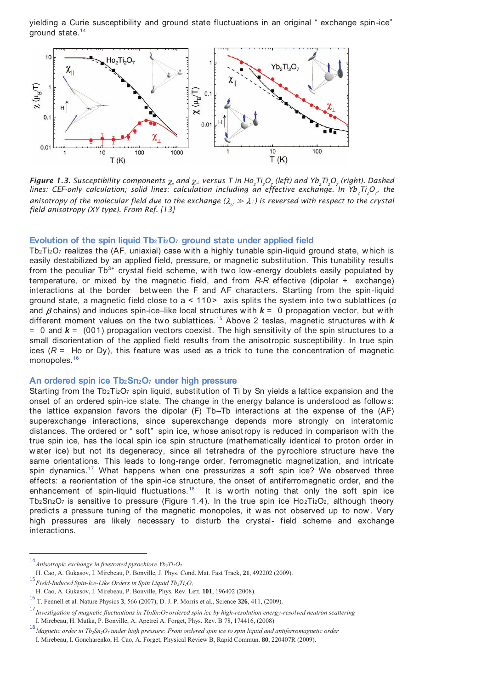yielding a Curie susceptibility and ground state fluctuations in an original " exchange spin-ice" ground state.<sup>14</sup>



**Figure 1.3.** Susceptibility components  $\chi_{\parallel}$  and  $\chi_{\perp}$  versus T in Ho<sub>2</sub>Ti<sub>2</sub>O<sub>z</sub> (left) and Yb<sub>2</sub>Ti<sub>2</sub>O<sub>z</sub> (right). Dashed lines: CEF-only calculation; solid lines: calculation including an effective exchange. In Yb<sub>2</sub>Ti<sub>2</sub>O<sub>7</sub>, the *anisotropy of the molecular field due to the exchange*  $(\lambda_{1/1} \gg \lambda_{1/2})$  *is reversed with respect to the crystal field anisotropy (XY type). From Ref. [13]* 

#### **Evolution of the spin liquid Tb2Ti2O7 ground state under applied field**

Tb2Ti2O7 realizes the (AF, uniaxial) case w ith a highly tunable spin-liquid ground state, w hich is easily destabilized by an applied field, pressure, or magnetic substitution. This tunability results from the peculiar  $\text{Th}^{3+}$  crystal field scheme, with two low-energy doublets easily populated by temperature, or mixed by the magnetic field, and from *R-R* effective (dipolar + exchange) interactions at the border betw een the F and AF characters. Starting from the spin-liquid ground state, a magnetic field close to a < 110> axis splits the system into tw o sublattices (*α* and  $\beta$  chains) and induces spin-ice–like local structures with  $k = 0$  propagation vector, but with different moment values on the two sublattices.<sup>15</sup> Above 2 teslas, magnetic structures with  $k$ = 0 and *k* = (001) propagation vectors coexist. The high sensitivity of the spin structures to a small disorientation of the applied field results from the anisotropic susceptibility. In true spin ices  $(R =$  Ho or Dy), this feature was used as a trick to tune the concentration of magnetic monopoles.<sup>16</sup>

#### **An ordered spin ice Tb2Sn2O7 under high pressure**

Starting from the  $Tb_2Ti_2O_7$  spin liquid, substitution of Ti by Sn yields a lattice expansion and the onset of an ordered spin-ice state. The change in the energy balance is understood as follow s: the lattice expansion favors the dipolar (F) Tb–Tb interactions at the expense of the (AF) superexchange interactions, since superexchange depends more strongly on interatomic distances. The ordered or " soft" spin ice, w hose anisotropy is reduced in comparison w ith the true spin ice, has the local spin ice spin structure (mathematically identical to proton order in w ater ice) but not its degeneracy, since all tetrahedra of the pyrochlore structure have the same orientations. This leads to long-range order, ferromagnetic magnetization, and intricate spin dynamics.<sup>17</sup> What happens when one pressurizes a soft spin ice? We observed three effects: a reorientation of the spin-ice structure, the onset of antiferromagnetic order, and the enhancement of spin-liquid fluctuations.<sup>18</sup> It is w orth noting that only the soft spin ice Tb<sub>2</sub>Sn<sub>2</sub>O<sub>7</sub> is sensitive to pressure (Figure 1.4). In the true spin ice Ho<sub>2</sub>Ti<sub>2</sub>O<sub>2</sub>, although theory predicts a pressure tuning of the magnetic monopoles, it w as not observed up to now . Very high pressures are likely necessary to disturb the crystal- field scheme and exchange interactions.

<sup>14</sup> *Anisotropic exchange in frustrated pyrochlore Yb2Ti2O<sup>7</sup>*

H. Cao, A. Gukasov, I. Mirebeau, P. Bonville, J. Phys. Cond. Mat. Fast Track, **21**, 492202 (2009).

<sup>15</sup>*Field-Induced Spin-Ice-Like Orders in Spin Liquid Tb2Ti2O<sup>7</sup>*

H. Cao, A. Gukasov, I. Mirebeau, P. Bonville, Phys. Rev. Lett. **101**, 196402 (2008).

<sup>16</sup> T. Fennell et al. Nature Physics **3**, 566 (2007); D. J. P. Morris et al., Science **326**, 411, (2009).

<sup>17</sup>*Investigation of magnetic fluctuations in Tb2Sn2O7 ordered spin ice by high-resolution energy-resolved neutron scattering* 

I. Mirebeau, H. Mutka, P. Bonville, A. Apetrei A. Forget, Phys. Rev. B 78, 174416, (2008)

<sup>18</sup>*Magnetic order in Tb2Sn2O7 under high pressure: From ordered spin ice to spin liquid and antiferromagnetic order* 

I. Mirebeau, I. Goncharenko, H. Cao, A. Forget, Physical Review B, Rapid Commun. **80**, 220407R (2009).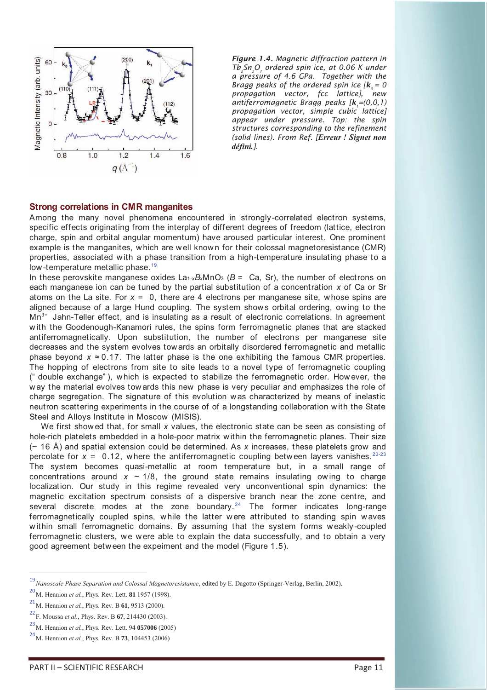

*Figure 1.4. Magnetic diffraction pattern in Tb<sup>2</sup> Sn2O<sup>7</sup> ordered spin ice, at 0.06 K under a pressure of 4.6 GPa. Together with the Bragg peaks of the ordered spin ice*  $[k_0 = 0]$ *propagation vector, fcc lattice], new antiferromagnetic Bragg peaks [k<sup>1</sup> =(0,0,1) propagation vector, simple cubic lattice] appear under pressure. Top: the spin structures corresponding to the refinement (solid lines). From Ref. [Erreur ! Signet non défini.].* 

#### **Strong correlations in CMR manganites**

Among the many novel phenomena encountered in strongly-correlated electron systems, specific effects originating from the interplay of different degrees of freedom (lattice, electron charge, spin and orbital angular momentum) have aroused particular interest. One prominent example is the manganites, which are well known for their colossal magnetoresistance (CMR) properties, associated w ith a phase transition from a high-temperature insulating phase to a low-temperature metallic phase.<sup>19</sup>

In these perovskite manganese oxides  $La_{1-x}B_xMnO_3$  ( $B = Ca$ , Sr), the number of electrons on each manganese ion can be tuned by the partial substitution of a concentration *x* of Ca or Sr atoms on the La site. For *x* = 0, there are 4 electrons per manganese site, w hose spins are aligned because of a large Hund coupling. The system show s orbital ordering, ow ing to the  $Mn^{3+}$  Jahn-Teller effect, and is insulating as a result of electronic correlations. In agreement w ith the Goodenough-Kanamori rules, the spins form ferromagnetic planes that are stacked antiferromagnetically. Upon substitution, the number of electrons per manganese site decreases and the system evolves tow ards an orbitally disordered ferromagnetic and metallic phase beyond  $x \approx 0.17$ . The latter phase is the one exhibiting the famous CMR properties. The hopping of electrons from site to site leads to a novel type of ferromagnetic coupling (" double exchange" ), which is expected to stabilize the ferromagnetic order. How ever, the w ay the material evolves tow ards this new phase is very peculiar and emphasizes the role of charge segregation. The signature of this evolution w as characterized by means of inelastic neutron scattering experiments in the course of of a longstanding collaboration w ith the State Steel and Alloys Institute in Moscow (MISIS).

We first show ed that, for small *x* values, the electronic state can be seen as consisting of hole-rich platelets embedded in a hole-poor matrix w ithin the ferromagnetic planes. Their size (~ 16 Å) and spatial extension could be determined. As *x* increases, these platelets grow and percolate for  $x = 0.12$ , where the antiferromagnetic coupling between layers vanishes.<sup>20-23</sup> The system becomes quasi-metallic at room temperature but, in a small range of concentrations around  $x \sim 1/8$ , the ground state remains insulating owing to charge localization. Our study in this regime revealed very unconventional spin dynamics: the magnetic excitation spectrum consists of a dispersive branch near the zone centre, and several discrete modes at the zone boundary.<sup>24</sup> The former indicates long-range ferromagnetically coupled spins, while the latter were attributed to standing spin waves w ithin small ferromagnetic domains. By assuming that the system forms w eakly-coupled ferromagnetic clusters, we w ere able to explain the data successfully, and to obtain a very good agreement betw een the expeiment and the model (Figure 1.5).

<sup>19</sup>*Nanoscale Phase Separation and Colossal Magnetoresistance*, edited by E. Dagotto (Springer-Verlag, Berlin, 2002).

<sup>20</sup> M. Hennion *et al.*, Phys. Rev. Lett. **81** 1957 (1998).

<sup>21</sup> M. Hennion *et al.*, Phys. Rev. B **61**, 9513 (2000).

<sup>22</sup> F. Moussa *et al.*, Phys. Rev. B **67**, 214430 (2003).

<sup>23</sup> M. Hennion *et al.*, Phys. Rev. Lett. 94 **057006** (2005)

<sup>24</sup> M. Hennion *et al.*, Phys. Rev. B **73**, 104453 (2006)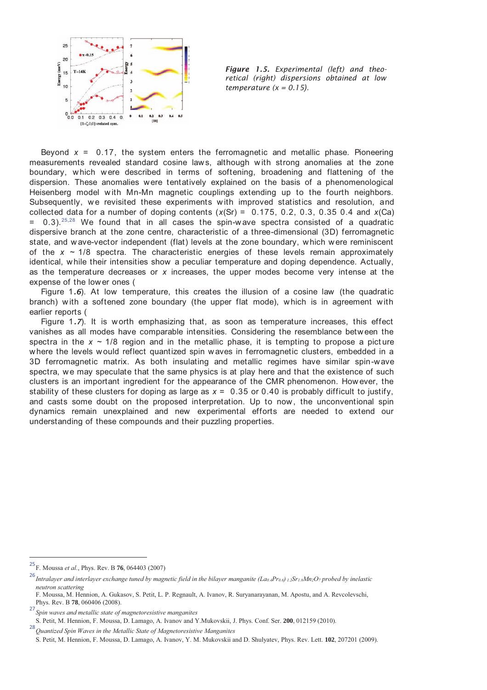

*Figure 1.5. Experimental (left) and theoretical (right) dispersions obtained at low temperature (x = 0.15).*

Beyond *x* = 0.17, the system enters the ferromagnetic and metallic phase. Pioneering measurements revealed standard cosine law s, although w ith strong anomalies at the zone boundary, w hich w ere described in terms of softening, broadening and flattening of the dispersion. These anomalies were tentatively explained on the basis of a phenomenological Heisenberg model with Mn-Mn magnetic couplings extending up to the fourth neighbors. Subsequently, we revisited these experiments with improved statistics and resolution, and collected data for a number of doping contents (*x*(Sr) = 0.175, 0.2, 0.3, 0.35 0.4 and *x*(Ca)  $=$  0.3).<sup>25,28</sup> We found that in all cases the spin-wave spectra consisted of a quadratic dispersive branch at the zone centre, characteristic of a three-dimensional (3D) ferromagnetic state, and w ave-vector independent (flat) levels at the zone boundary, w hich w ere reminiscent of the  $x \sim 1/8$  spectra. The characteristic energies of these levels remain approximately identical, w hile their intensities show a peculiar temperature and doping dependence. Actually, as the temperature decreases or *x* increases, the upper modes become very intense at the expense of the lower ones (

Figure 1*.6*). At low temperature, this creates the illusion of a cosine law (the quadratic branch) w ith a softened zone boundary (the upper flat mode), w hich is in agreement w ith earlier reports (

Figure 1.7). It is worth emphasizing that, as soon as temperature increases, this effect vanishes as all modes have comparable intensities. Considering the resemblance betw een the spectra in the  $x \sim 1/8$  region and in the metallic phase, it is tempting to propose a picture w here the levels w ould reflect quantized spin w aves in ferromagnetic clusters, embedded in a 3D ferromagnetic matrix. As both insulating and metallic regimes have similar spin-wave spectra, we may speculate that the same physics is at play here and that the existence of such clusters is an important ingredient for the appearance of the CMR phenomenon. How ever, the stability of these clusters for doping as large as  $x = 0.35$  or 0.40 is probably difficult to justify, and casts some doubt on the proposed interpretation. Up to now , the unconventional spin dynamics remain unexplained and new experimental efforts are needed to extend our understanding of these compounds and their puzzling properties.

<sup>25</sup> F. Moussa *et al.*, Phys. Rev. B **76**, 064403 (2007)

<sup>26</sup>*Intralayer and interlayer exchange tuned by magnetic field in the bilayer manganite (La0.4Pr0.6) 1.2Sr1.8Mn2O7 probed by inelastic neutron scattering* 

F. Moussa, M. Hennion, A. Gukasov, S. Petit, L. P. Regnault, A. Ivanov, R. Suryanarayanan, M. Apostu, and A. Revcolevschi, Phys. Rev. B **78**, 060406 (2008).

<sup>27</sup>*Spin waves and metallic state of magnetoresistive manganites* 

S. Petit, M. Hennion, F. Moussa, D. Lamago, A. Ivanov and Y.Mukovskii, J. Phys. Conf. Ser. **200**, 012159 (2010).

<sup>28</sup>*Quantized Spin Waves in the Metallic State of Magnetoresistive Manganites* 

S. Petit, M. Hennion, F. Moussa, D. Lamago, A. Ivanov, Y. M. Mukovskii and D. Shulyatev, Phys. Rev. Lett. **102**, 207201 (2009).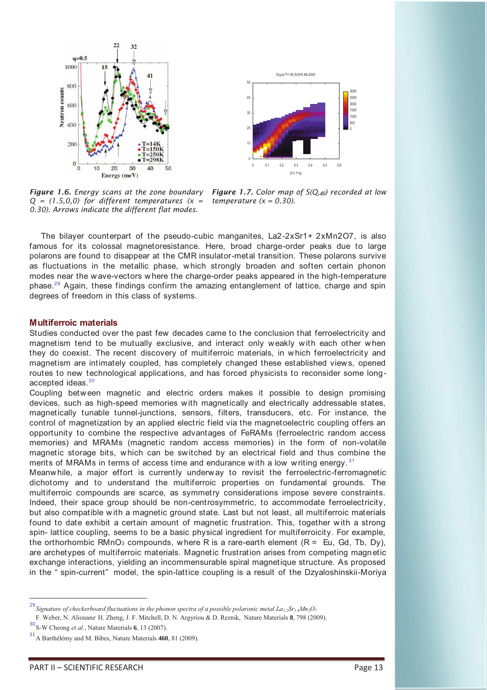



*Figure 1.6. Energy scans at the zone boundary Q = (1.5,0,0) for different temperatures (x = 0.30). Arrows indicate the different flat modes.* 

*Figure 1.7. Color map of S(Q,* $\omega$ *) recorded at low temperature (x = 0.30).*

The bilayer counterpart of the pseudo-cubic manganites, La2-2xSr1+ 2xMn2O7, is also famous for its colossal magnetoresistance. Here, broad charge-order peaks due to large polarons are found to disappear at the CMR insulator-metal transition. These polarons survive as fluctuations in the metallic phase, w hich strongly broaden and soften certain phonon modes near the w ave-vectors w here the charge-order peaks appeared in the high-temperature phase.<sup>29</sup> Again, these findings confirm the amazing entanglement of lattice, charge and spin degrees of freedom in this class of systems.

### **Multiferroic materials**

Studies conducted over the past few decades came to the conclusion that ferroelectricity and magnetism tend to be mutually exclusive, and interact only w eakly w ith each other w hen they do coexist. The recent discovery of multiferroic materials, in w hich ferroelectricity and magnetism are intimately coupled, has completely changed these established view s, opened routes to new technological applications, and has forced physicists to reconsider some longaccepted ideas.<sup>30</sup>

Coupling betw een magnetic and electric orders makes it possible to design promising devices, such as high-speed memories w ith magnetically and electrically addressable states, magnetically tunable tunnel-junctions, sensors, filters, transducers, etc. For instance, the control of magnetization by an applied electric field via the magnetoelectric coupling offers an opportunity to combine the respective advantages of FeRAMs (ferroelectric random access memories) and MRAMs (magnetic random access memories) in the form of non-volatile magnetic storage bits, which can be sw itched by an electrical field and thus combine the merits of MRAMs in terms of access time and endurance with a low writing energy.<sup>31</sup>

Meanw hile, a major effort is currently underw ay to revisit the ferroelectric-ferromagnetic dichotomy and to understand the multiferroic properties on fundamental grounds. The multiferroic compounds are scarce, as symmetry considerations impose severe constraints. Indeed, their space group should be non-centrosymmetric, to accommodate ferroelectricity, but also compatible w ith a magnetic ground state. Last but not least, all multiferroic materials found to date exhibit a certain amount of magnetic frustration. This, together with a strong spin- lattice coupling, seems to be a basic physical ingredient for multiferroicity. For example, the orthorhombic RMnO<sub>3</sub> compounds, where R is a rare-earth element  $(R = Eu, Gd, Tb, Dy)$ , are archetypes of multiferroic materials. Magnetic frustration arises from competing magnetic exchange interactions, yielding an incommensurable spiral magnetique structure. As proposed in the " spin-current" model, the spin-lattice coupling is a result of the Dzyaloshinskii-Moriya

<sup>29</sup>*Signature of checkerboard fluctuations in the phonon spectra of a possible polaronic metal La1.2Sr1.8Mn2O<sup>7</sup>*

F. Weber, N. Aliouane, H. Zheng, J. F. Mitchell, D. N. Argyriou & D. Reznik, Nature Materials **8**, 798 (2009).

<sup>30</sup> S-W Cheong *et al.*, Nature Materials **6**, 13 (2007).

<sup>31</sup> A Barthélémy and M. Bibes, Nature Materials **460**, 81 (2009).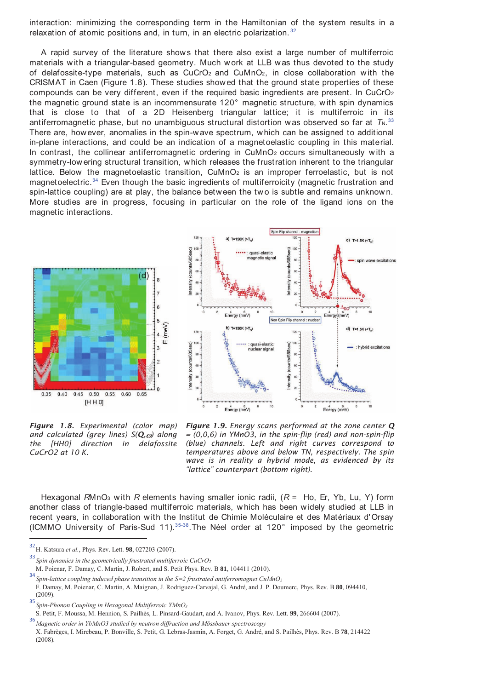interaction: minimizing the corresponding term in the Hamiltonian of the system results in a relaxation of atomic positions and, in turn, in an electric polarization.  $32$ 

A rapid survey of the literature show s that there also exist a large number of multiferroic materials with a triangular-based geometry. Much work at LLB was thus devoted to the study of delafossite-type materials, such as  $CuCrO<sub>2</sub>$  and  $CuMnO<sub>2</sub>$ , in close collaboration with the CRISMAT in Caen (Figure 1.8). These studies showed that the ground state properties of these compounds can be very different, even if the required basic ingredients are present. In CuCrO<sup>2</sup> the magnetic ground state is an incommensurate 120° magnetic structure, w ith spin dynamics that is close to that of a 2D Heisenberg triangular lattice; it is multiferroic in its antiferromagnetic phase, but no unambiguous structural distortion was observed so far at  $T_{\rm N}$ .<sup>33</sup> There are, however, anomalies in the spin-w ave spectrum, w hich can be assigned to additional in-plane interactions, and could be an indication of a magnetoelastic coupling in this material. In contrast, the collinear antiferromagnetic ordering in CuMnO<sub>2</sub> occurs simultaneously with a symmetry-low ering structural transition, w hich releases the frustration inherent to the triangular lattice. Below the magnetoelastic transition,  $CuMnO<sub>2</sub>$  is an improper ferroelastic, but is not magnetoelectric.<sup>34</sup> Even though the basic ingredients of multiferroicity (magnetic frustration and spin-lattice coupling) are at play, the balance between the two is subtle and remains unknown. More studies are in progress, focusing in particular on the role of the ligand ions on the magnetic interactions.





*Figure 1.8. Experimental (color map) and calculated (grey lines)*  $S(Q,\omega)$  along *the [HH0] direction in delafossite CuCrO2 at 10 K.*

*Figure 1.9. Energy scans performed at the zone center Q = (0,0,6) in YMnO3, in the spin-flip (red) and non-spin-flip (blue) channels. Left and right curves correspond to temperatures above and below TN, respectively. The spin wave is in reality a hybrid mode, as evidenced by its "lattice" counterpart (bottom right).*

Hexagonal *R*MnO<sub>3</sub> with *R* elements having smaller ionic radii, ( $R =$  Ho, Er, Yb, Lu, Y) form another class of triangle-based multiferroic materials, w hich has been w idely studied at LLB in recent years, in collaboration w ith the Institut de Chimie Moléculaire et des Matériaux d' Orsay (ICMMO University of Paris-Sud 11).35-38.The Néel order at 120° imposed by the geometric

<sup>32</sup> H. Katsura *et al.*, Phys. Rev. Lett. **98**, 027203 (2007).

 $\overline{a}$ 

<sup>33</sup>*Spin dynamics in the geometrically frustrated multiferroic CuCrO<sup>2</sup>*

M. Poienar, F. Damay, C. Martin, J. Robert, and S. Petit Phys. Rev. B **81**, 104411 (2010).

<sup>34</sup>*Spin-lattice coupling induced phase transition in the S=2 frustrated antiferromagnet CuMnO<sup>2</sup>*

F. Damay, M. Poienar, C. Martin, A. Maignan, J. Rodriguez-Carvajal, G. André, and J. P. Doumerc, Phys. Rev. B **80**, 094410, (2009).

<sup>35</sup>*Spin-Phonon Coupling in Hexagonal Multiferroic YMnO<sup>3</sup>*

S. Petit, F. Moussa, M. Hennion, S. Pailhès, L. Pinsard-Gaudart, and A. Ivanov, Phys. Rev. Lett. **99**, 266604 (2007).

<sup>36</sup>*Magnetic order in YbMnO3 studied by neutron diffraction and Mössbauer spectroscopy* 

X. Fabrèges, I. Mirebeau, P. Bonville, S. Petit, G. Lebras-Jasmin, A. Forget, G. André, and S. Pailhès, Phys. Rev. B **78**, 214422 (2008).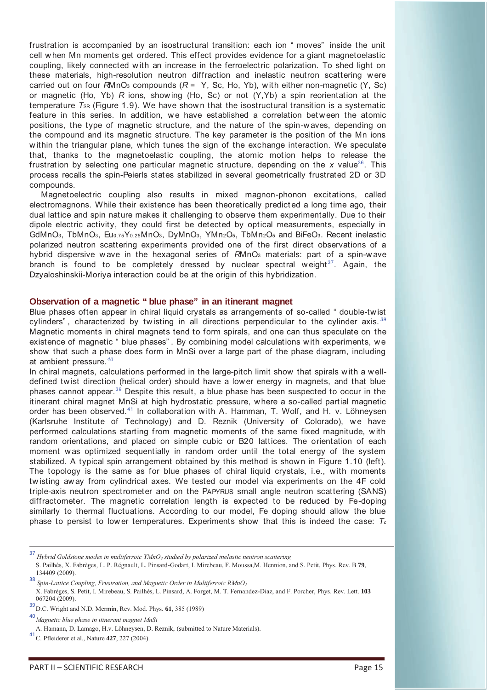frustration is accompanied by an isostructural transition: each ion " moves" inside the unit cell w hen Mn moments get ordered. This effect provides evidence for a giant magnetoelastic coupling, likely connected w ith an increase in the ferroelectric polarization. To shed light on these materials, high-resolution neutron diffraction and inelastic neutron scattering w ere carried out on four  $R M nO<sub>3</sub>$  compounds ( $R = Y$ , Sc, Ho, Yb), with either non-magnetic (Y, Sc) or magnetic (Ho, Yb) *R* ions, show ing (Ho, Sc) or not (Y,Yb) a spin reorientation at the temperature *T*<sub>SR</sub> (Figure 1.9). We have shown that the isostructural transition is a systematic feature in this series. In addition, we have established a correlation between the atomic positions, the type of magnetic structure, and the nature of the spin-w aves, depending on the compound and its magnetic structure. The key parameter is the position of the Mn ions w ithin the triangular plane, w hich tunes the sign of the exchange interaction. We speculate that, thanks to the magnetoelastic coupling, the atomic motion helps to release the frustration by selecting one particular magnetic structure, depending on the *x* value<sup>36</sup>. This process recalls the spin-Peierls states stabilized in several geometrically frustrated 2D or 3D compounds.

Magnetoelectric coupling also results in mixed magnon-phonon excitations, called electromagnons. While their existence has been theoretically predict ed a long time ago, their dual lattice and spin nature makes it challenging to observe them experimentally. Due to their dipole electric activity, they could first be detected by optical measurements, especially in GdMnO3, TbMnO3, Eu0.75Y0.25MnO3, DyMnO3, YMn2O5, TbMn2O5 and BiFeO3. Recent inelastic polarized neutron scattering experiments provided one of the first direct observations of a hybrid dispersive wave in the hexagonal series of *R*MnO<sub>3</sub> materials: part of a spin-wave branch is found to be completely dressed by nuclear spectral weight $37$ . Again, the Dzyaloshinskii-Moriya interaction could be at the origin of this hybridization.

#### **Observation of a magnetic " blue phase" in an itinerant magnet**

Blue phases often appear in chiral liquid crystals as arrangements of so-called " double-tw ist cylinders" , characterized by tw isting in all directions perpendicular to the cylinder axis. *<sup>39</sup>* Magnetic moments in chiral magnets tend to form spirals, and one can thus speculate on the existence of magnetic " blue phases" . By combining model calculations w ith experiments, we show that such a phase does form in MnSi over a large part of the phase diagram, including at ambient pressure.*<sup>40</sup>*

In chiral magnets, calculations performed in the large-pitch limit show that spirals with a welldefined tw ist direction (helical order) should have a low er energy in magnets, and that blue phases cannot appear.<sup>39</sup> Despite this result, a blue phase has been suspected to occur in the itinerant chiral magnet MnSi at high hydrostatic pressure, w here a so-called partial magnetic order has been observed.<sup>41</sup> In collaboration w ith A. Hamman, T. Wolf, and H. v. Löhneysen (Karlsruhe Institute of Technology) and D. Reznik (University of Colorado), we have performed calculations starting from magnetic moments of the same fixed magnitude, w ith random orientations, and placed on simple cubic or B20 lattices. The orientation of each moment w as optimized sequentially in random order until the total energy of the system stabilized. A typical spin arrangement obtained by this method is shown in Figure 1.10 (left). The topology is the same as for blue phases of chiral liquid crystals, i.e., w ith moments tw isting aw ay from cylindrical axes. We tested our model via experiments on the 4F cold triple-axis neutron spectrometer and on the PAPYRUS small angle neutron scattering (SANS) diffractometer. The magnetic correlation length is expected to be reduced by Fe-doping similarly to thermal fluctuations. According to our model, Fe doping should allow the blue phase to persist to low er temperatures. Experiments show that this is indeed the case: *T<sup>c</sup>*

 $\overline{a}$ 

<sup>37</sup> *Hybrid Goldstone modes in multiferroic YMnO3 studied by polarized inelastic neutron scattering*  S. Pailhès, X. Fabrèges, L. P. Régnault, L. Pinsard-Godart, I. Mirebeau, F. Moussa,M. Hennion, and S. Petit, Phys. Rev. B **79**, 134409 (2009).

<sup>38</sup> *Spin-Lattice Coupling, Frustration, and Magnetic Order in Multiferroic RMnO<sup>3</sup>*

X. Fabrèges, S. Petit, I. Mirebeau, S. Pailhès, L. Pinsard, A. Forget, M. T. Fernandez-Diaz, and F. Porcher, Phys. Rev. Lett. **103** 067204 (2009).

<sup>39</sup> D.C. Wright and N.D. Mermin, Rev. Mod. Phys. **61**, 385 (1989)

<sup>40</sup>*Magnetic blue phase in itinerant magnet MnSi* 

A. Hamann, D. Lamago, H.v. Löhneysen, D. Reznik, (submitted to Nature Materials).

<sup>41</sup> C. Pfleiderer et al., Nature **427**, 227 (2004).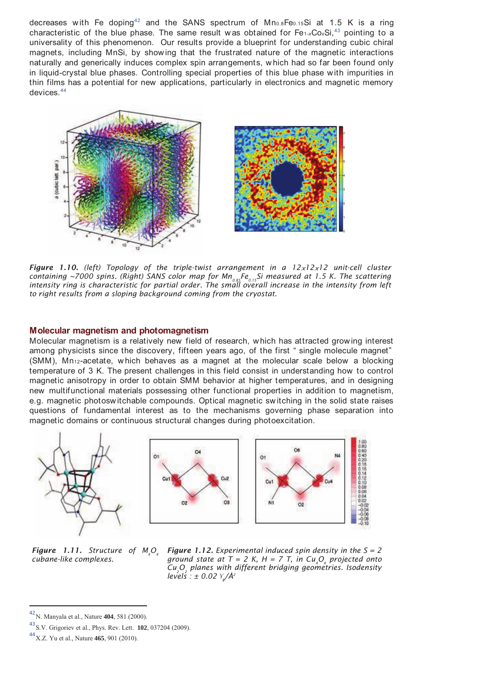decreases with Fe doping<sup>42</sup> and the SANS spectrum of  $Mn<sub>0.8</sub>Fe<sub>0.15</sub>Si$  at 1.5 K is a ring characteristic of the blue phase. The same result was obtained for Fe<sub>1-x</sub>Co<sub>x</sub>Si,<sup>43</sup> pointing to a universality of this phenomenon. Our results provide a blueprint for understanding cubic chiral magnets, including MnSi, by show ing that the frustrated nature of the magnetic interactions naturally and generically induces complex spin arrangements, w hich had so far been found only in liquid-crystal blue phases. Controlling special properties of this blue phase w ith impurities in thin films has a potential for new applications, particularly in electronics and magnetic memory devices.<sup>44</sup>



*Figure 1.10. (left) Topology of the triple-twist arrangement in a 12x12x12 unit-cell cluster containing ~7000 spins. (Right) SANS color map for Mn0.85 Fe0.15 Si measured at 1.5 K. The scattering intensity ring is characteristic for partial order. The small overall increase in the intensity from left to right results from a sloping background coming from the cryostat.* 

#### **Molecular magnetism and photomagnetism**

Molecular magnetism is a relatively new field of research, w hich has attracted grow ing interest among physicists since the discovery, fifteen years ago, of the first " single molecule magnet" (SMM), Mn12-acetate, w hich behaves as a magnet at the molecular scale below a blocking temperature of 3 K. The present challenges in this field consist in understanding how to control magnetic anisotropy in order to obtain SMM behavior at higher temperatures, and in designing new multifunctional materials possessing other functional properties in addition to magnetism, e.g. magnetic photosw itchable compounds. Optical magnetic sw itching in the solid state raises questions of fundamental interest as to the mechanisms governing phase separation into magnetic domains or continuous structural changes during photoexcitation.



*Figure 1.11. Structure of M<sub>1</sub>O<sub>4</sub></sub> cubane-like complexes.* 

*Figure 1.12. Experimental induced spin density in the S = 2 ground state at*  $T = 2$  K,  $H = 7$  T, in Cu<sub>4</sub>O<sub>4</sub> projected onto *Cu2O<sup>2</sup> planes with different bridging geometries. Isodensity levels : ± 0.02 ¥ B /Å2* 

<sup>42</sup> N. Manyala et al., Nature **404**, 581 (2000).

<sup>43</sup> S.V. Grigoriev et al., Phys. Rev. Lett. **102**, 037204 (2009).

<sup>44</sup> X.Z. Yu et al., Nature **465**, 901 (2010).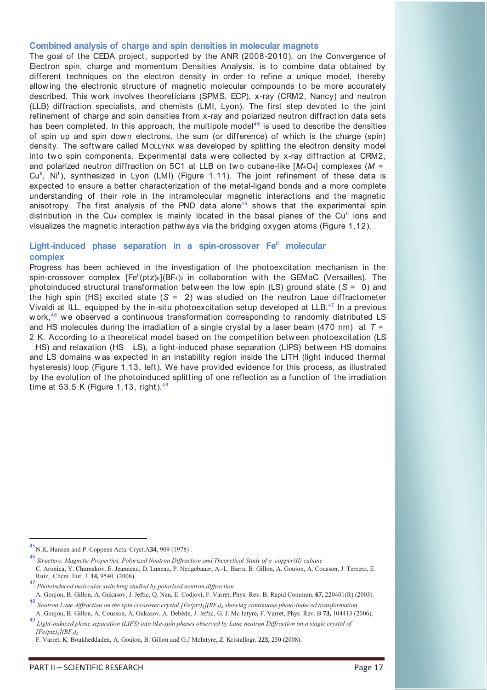#### **Combined analysis of charge and spin densities in molecular magnets**

The goal of the CEDA project, supported by the ANR (2008-2010), on the Convergence of Electron spin, charge and momentum Densities Analysis, is to combine data obtained by different techniques on the electron density in order to refine a unique model, thereby allowing the electronic structure of magnetic molecular compounds to be more accurately described. This w ork involves theoreticians (SPMS, ECP), x-ray (CRM2, Nancy) and neutron (LLB) diffraction specialists, and chemists (LMI, Lyon). The first step devoted to the joint refinement of charge and spin densities from x-ray and polarized neutron diffraction data sets has been completed. In this approach, the multipole model<sup>45</sup> is used to describe the densities of spin up and spin down electrons, the sum (or difference) of which is the charge (spin) density. The softw are called MOLLYNX w as developed by splitting the electron density model into two spin components. Experimental data were collected by x-ray diffraction at CRM2, and polarized neutron diffraction on 5C1 at LLB on two cubane-like [M<sub>4</sub>O<sub>4</sub>] complexes (M =  $Cu<sup>II</sup>$ , Ni<sup>II</sup>), synthesized in Lyon (LMI) (Figure 1.11). The joint refinement of these data is expected to ensure a better characterization of the metal-ligand bonds and a more complete understanding of their role in the intramolecular magnetic interactions and the magnetic anisotropy. The first analysis of the PND data alone<sup>46</sup> shows that the experimental spin distribution in the Cu<sub>4</sub> complex is mainly located in the basal planes of the Cu<sup>II</sup> ions and visualizes the magnetic interaction pathw ays via the bridging oxygen atoms (Figure 1.12).

# Light-induced phase separation in a spin-crossover Fe<sup>II</sup> molecular **complex**

Progress has been achieved in the investigation of the photoexcitation mechanism in the spin-crossover complex  $[Fe^{II}(ptz)_6] (BF_4)_2$  in collaboration with the GEMaC (Versailles). The photoinduced structural transformation between the low spin (LS) ground state (*S* = 0) and the high spin (HS) excited state (*S* = 2) w as studied on the neutron Laue diffractometer Vivaldi at ILL, equipped by the in-situ photoexcitation setup developed at LLB.<sup>47</sup> In a previous work, $48$  we observed a continuous transformation corresponding to randomly distributed LS and HS molecules during the irradiation of a single crystal by a laser beam (470 nm) at *T* = 2 K. According to a theoretical model based on the competition between photoexcitation (LS → HS) and relaxation (HS → LS), a light-induced phase separation (LIPS) betw een HS domains and LS domains w as expected in an instability region inside the LITH (light induced thermal hysteresis) loop (Figure 1.13, left). We have provided evidence for this process, as illustrated by the evolution of the photoinduced splitting of one reflection as a function of the irradiation time at 53.5 K (Figure 1.13, right). $49$ 

 $\overline{a}$ 

<sup>45</sup> N.K. Hansen and P. Coppens Acta. Cryst.A**34**, 909 (1978) .

<sup>46</sup> *Structure, Magnetic Properties, Polarized Neutron Diffraction and Theoretical Study of a copper(II) cubane*  C. Aronica, Y. Chumakov, E. Jeanneau, D. Luneau, P. Neugebauer, A.-L. Barra, B. Gillon, A. Goujon, A. Cousson, J. Tercero, E. Ruiz, Chem. Eur. J. **14,** 9540 (2008).

<sup>47</sup> *Photoinduced molecular switching studied by polarised neutron diffraction* 

A. Goujon, B. Gillon, A. Gukasov, J. Jeftic, Q. Nau, E. Codjovi, F. Varret, Phys. Rev. B, Rapid Commun. **67,** 220401(R) (2003). <sup>48</sup> *Neutron Laue diffraction on the spin crossover crystal [Fe(ptz)6](BF4)2 showing continuous photo-induced transformation* 

A. Goujon, B. Gillon, A. Cousson, A. Gukasov, A. Debède, J. Jeftic, G. J. Mc Intyre**,** F. Varret, Phys. Rev. B **73,** 104413 (2006). <sup>49</sup> *Light-induced phase separation (LIPS) into like-spin phases observed by Laue neutron Diffraction on a single crystal of* 

*<sup>[</sup>Fe(ptz)6](BF4)<sup>2</sup>*

F. Varret, K. Boukheddaden, A. Goujon, B. Gillon and G.J McIntyre, Z. Kristallogr. **223,** 250 (2008).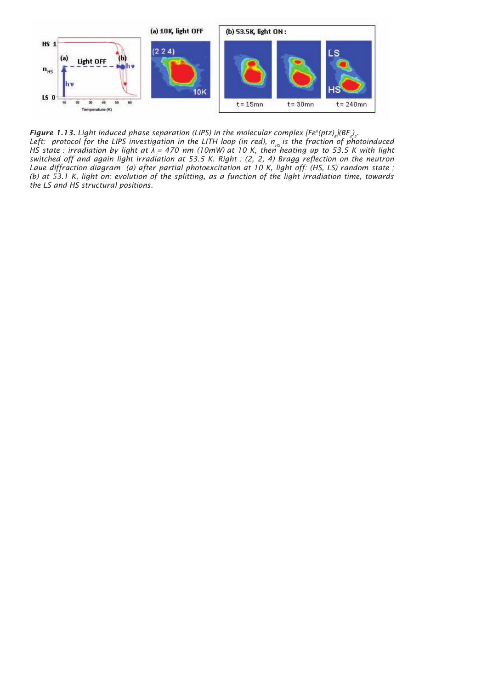

*Figure 1.13.* Light induced phase separation (LIPS) in the molecular complex  $[Fe^{i}(\text{ptz})_{s}](BF_{s})$ . Left: protocol for the LIPS investigation in the LITH loop (in red), n<sub><sub>HS</sub> is the fraction of photoinduced</sub> *HS state : irradiation by light at λ = 470 nm (10mW) at 10 K, then heating up to 53.5 K with light switched off and again light irradiation at 53.5 K. Right : (2, 2, 4) Bragg reflection on the neutron Laue diffraction diagram (a) after partial photoexcitation at 10 K, light off: (HS, LS) random state ; (b) at 53.1 K, light on: evolution of the splitting, as a function of the light irradiation time, towards the LS and HS structural positions.*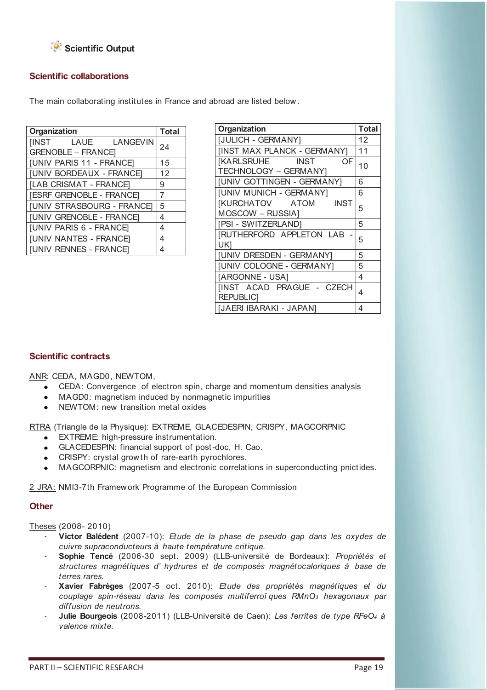

# **Scientific collaborations**

The main collaborating institutes in France and abroad are listed below .

| Organization                      | <b>Total</b> |
|-----------------------------------|--------------|
| <b>IINST</b><br>LAUE LANGEVIN     | 24           |
| <b>GRENOBLE - FRANCEI</b>         |              |
| <b>JUNIV PARIS 11 - FRANCE</b>    | 15           |
| <b>JUNIV BORDEAUX - FRANCE</b>    | 12           |
| [LAB CRISMAT - FRANCE]            | 9            |
| [ESRF GRENOBLE - FRANCE]          | 7            |
| <b>[UNIV STRASBOURG - FRANCE]</b> | 5            |
| [UNIV GRENOBLE - FRANCE]          | 4            |
| [UNIV PARIS 6 - FRANCE]           | 4            |
| <b>[UNIV NANTES - FRANCE]</b>     | 4            |
| <b>JUNIV RENNES - FRANCE</b>      | 4            |

| Organization                     | <b>Total</b> |
|----------------------------------|--------------|
| [JULICH - GERMANY]               | 12           |
| [INST MAX PLANCK - GERMANY]      | 11           |
| [KARLSRUHE INST<br>OF            | 10           |
| TECHNOLOGY - GERMANY]            |              |
| [UNIV GOTTINGEN - GERMANY]       | 6            |
| [UNIV MUNICH - GERMANY]          | 6            |
| [KURCHATOV ATOM<br><b>INST</b>   | 5            |
| MOSCOW - RUSSIA]                 |              |
| [PSI-SWITZERLAND]                | 5            |
| <b>IRUTHERFORD APPLETON LAB</b>  | 5            |
| UK1                              |              |
| [UNIV DRESDEN - GERMANY]         | 5            |
| <b>JUNIV COLOGNE - GERMANY]</b>  | 5            |
| [ARGONNE - USA]                  | 4            |
| <b>IINST ACAD PRAGUE - CZECH</b> | 4            |
| <b>REPUBLICI</b>                 |              |
| [JAERI IBARAKI - JAPAN]          | 4            |

# **Scientific contracts**

ANR: CEDA, MAGD0, NEWTOM,

- CEDA: Convergence of electron spin, charge and momentum densities analysis
- MAGD0: magnetism induced by nonmagnetic impurities
- NEWTOM: new transition metal oxides

RTRA (Triangle de la Physique): EXTREME, GLACEDESPIN, CRISPY, MAGCORPNIC

- EXTREME: high-pressure instrumentation.
- GLACEDESPIN: financial support of post-doc, H. Cao.
- CRISPY: crystal grow th of rare-earth pyrochlores.
- MAGCORPNIC: magnetism and electronic correlations in superconducting pnictides.

2 JRA: NMI3-7th Framework Programme of the European Commission

#### **Other**

Theses (2008- 2010)

- **Victor Balédent** (2007-10): *Etude de la phase de pseudo gap dans les oxydes de cuivre supraconducteurs à haute température critique.*
- **Sophie Tencé** (2006-30 sept. 2009) (LLB-université de Bordeaux): *Propriétés et structures magnétiques d' hydrures et de composés magnétocaloriques à base de terres rares.*
- **Xavier Fabrèges** (2007-5 oct. 2010): *Etude des propriétés magnétiques et du couplage spin-réseau dans les composés multiferroï ques RMnO3 hexagonaux par diffusion de neutrons.*
- **Julie Bourgeois** (2008-2011) (LLB-Université de Caen): *Les ferrites de type RFeO4 à valence mixte.*